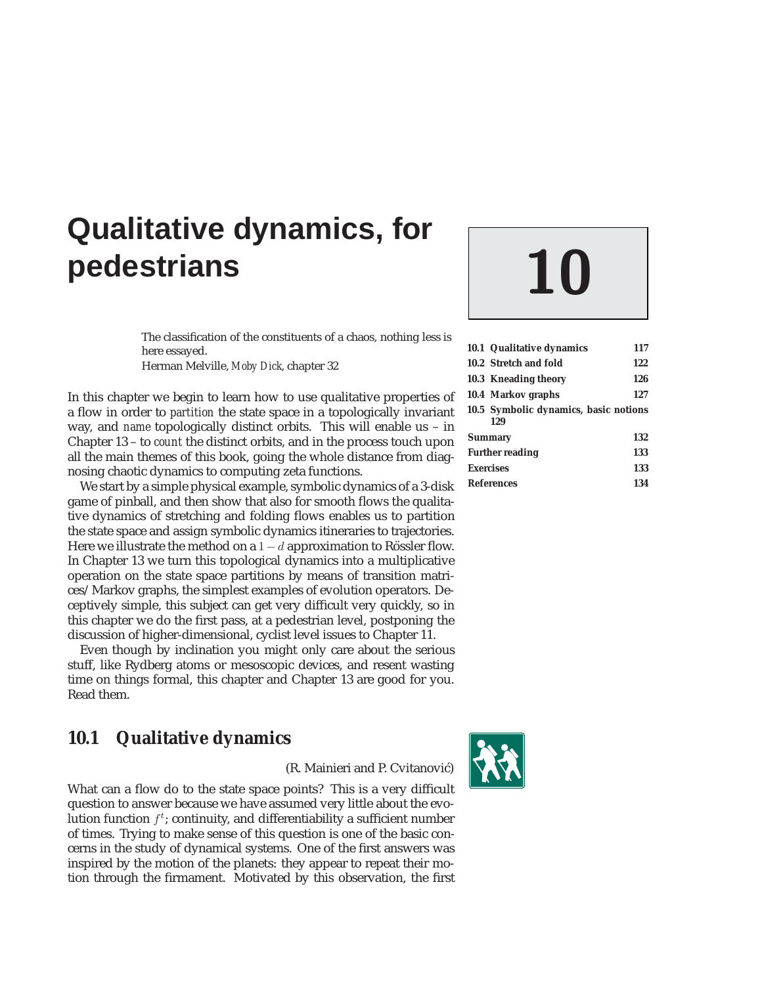# **Qualitative dynamics, for pedestrians 10**

The classification of the constituents of a chaos, nothing less is here essayed.

Herman Melville, *Moby Dick*, chapter 32

In this chapter we begin to learn how to use qualitative properties of a flow in order to *partition* the state space in a topologically invariant way, and *name* topologically distinct orbits. This will enable us – in Chapter 13 – to *count* the distinct orbits, and in the process touch upon all the main themes of this book, going the whole distance from diagnosing chaotic dynamics to computing zeta functions.

We start by a simple physical example, symbolic dynamics of a 3-disk game of pinball, and then show that also for smooth flows the qualitative dynamics of stretching and folding flows enables us to partition the state space and assign symbolic dynamics itineraries to trajectories. Here we illustrate the method on a  $1-d$  approximation to Rössler flow. In Chapter 13 we turn this topological dynamics into a multiplicative operation on the state space partitions by means of transition matrices/Markov graphs, the simplest examples of evolution operators. Deceptively simple, this subject can get very difficult very quickly, so in this chapter we do the first pass, at a pedestrian level, postponing the discussion of higher-dimensional, cyclist level issues to Chapter 11.

Even though by inclination you might only care about the serious stuff, like Rydberg atoms or mesoscopic devices, and resent wasting time on things formal, this chapter and Chapter 13 are good for you. Read them.

# **10.1 Qualitative dynamics**

### (R. Mainieri and P. Cvitanović)

What can a flow do to the state space points? This is a very difficult question to answer because we have assumed very little about the evo-Lution function  $f^t$ ; continuity, and differentiability a sufficient number of times. Trying to make sense of this question is one of the basic concerns in the study of dynamical systems. One of the first answers was inspired by the motion of the planets: they appear to repeat their motion through the firmament. Motivated by this observation, the first

|                        | 10.1 Qualitative dynamics                    | 117 |  |  |
|------------------------|----------------------------------------------|-----|--|--|
|                        | <b>10.2 Stretch and fold</b>                 | 122 |  |  |
|                        | 10.3 Kneading theory                         | 126 |  |  |
|                        | 10.4 Markov graphs                           | 127 |  |  |
|                        | 10.5 Symbolic dynamics, basic notions<br>129 |     |  |  |
| <b>Summary</b>         | 132                                          |     |  |  |
| <b>Further reading</b> |                                              |     |  |  |
| <b>Exercises</b>       |                                              |     |  |  |
| <b>References</b>      |                                              |     |  |  |
|                        |                                              |     |  |  |

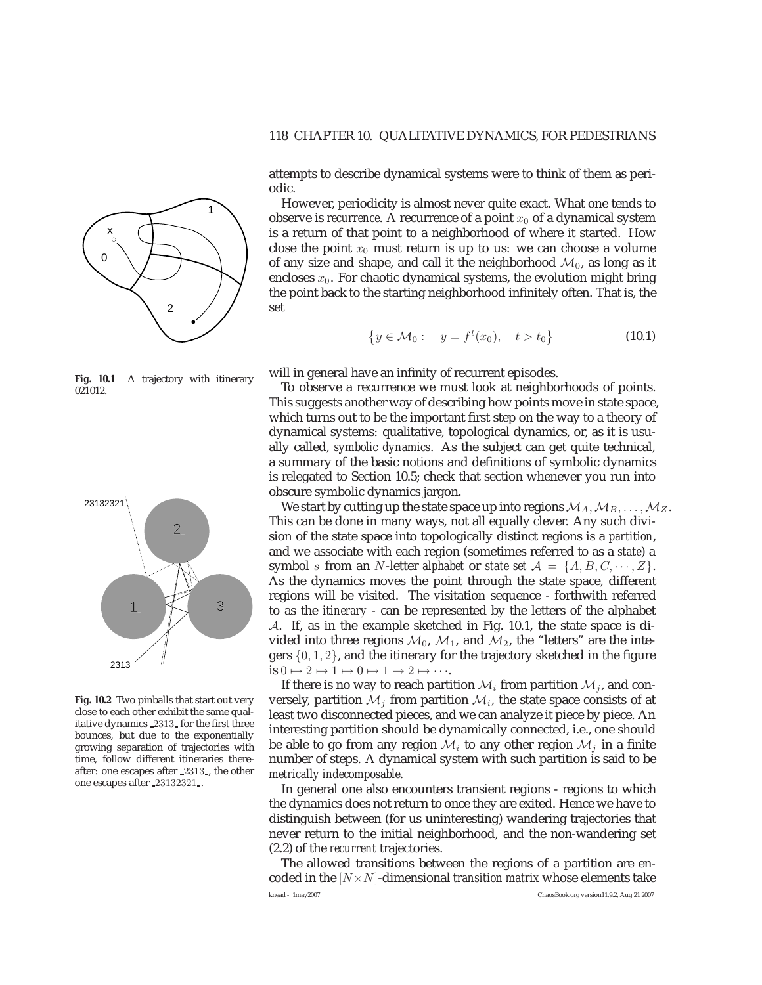

**Fig. 10.1** A trajectory with itinerary 021012.



**Fig. 10.2** Two pinballs that start out very close to each other exhibit the same qualitative dynamics 2313 for the first three bounces, but due to the exponentially growing separation of trajectories with time, follow different itineraries thereafter: one escapes after 2313 , the other one escapes after \_23132321\_.

attempts to describe dynamical systems were to think of them as periodic.

However, periodicity is almost never quite exact. What one tends to observe is *recurrence*. A recurrence of a point  $x_0$  of a dynamical system is a return of that point to a neighborhood of where it started. How close the point  $x_0$  must return is up to us: we can choose a volume of any size and shape, and call it the neighborhood  $\mathcal{M}_0$ , as long as it encloses  $x_0$ . For chaotic dynamical systems, the evolution might bring the point back to the starting neighborhood infinitely often. That is, the set

$$
\{y \in \mathcal{M}_0: \quad y = f^t(x_0), \quad t > t_0\}
$$
 (10.1)

will in general have an infinity of recurrent episodes.

To observe a recurrence we must look at neighborhoods of points. This suggests another way of describing how points move in state space, which turns out to be the important first step on the way to a theory of dynamical systems: qualitative, topological dynamics, or, as it is usually called, *symbolic dynamics*. As the subject can get quite technical, a summary of the basic notions and definitions of symbolic dynamics is relegated to Section 10.5; check that section whenever you run into obscure symbolic dynamics jargon.

We start by cutting up the state space up into regions  $M_A, M_B, \ldots, M_Z$ . This can be done in many ways, not all equally clever. Any such division of the state space into topologically distinct regions is a *partition*, and we associate with each region (sometimes referred to as a *state*) a symbol s from an N-letter *alphabet* or *state set*  $A = \{A, B, C, \dots, Z\}.$ As the dynamics moves the point through the state space, different regions will be visited. The visitation sequence - forthwith referred to as the *itinerary* - can be represented by the letters of the alphabet A. If, as in the example sketched in Fig. 10.1, the state space is divided into three regions  $\mathcal{M}_0$ ,  $\mathcal{M}_1$ , and  $\mathcal{M}_2$ , the "letters" are the integers {0, 1, 2}, and the itinerary for the trajectory sketched in the figure is  $0 \mapsto 2 \mapsto 1 \mapsto 0 \mapsto 1 \mapsto 2 \mapsto \cdots$ .

If there is no way to reach partition  $\mathcal{M}_i$  from partition  $\mathcal{M}_i$ , and conversely, partition  $\mathcal{M}_i$  from partition  $\mathcal{M}_i$ , the state space consists of at least two disconnected pieces, and we can analyze it piece by piece. An interesting partition should be dynamically connected, i.e., one should be able to go from any region  $\mathcal{M}_i$  to any other region  $\mathcal{M}_i$  in a finite number of steps. A dynamical system with such partition is said to be *metrically indecomposable*.

In general one also encounters transient regions - regions to which the dynamics does not return to once they are exited. Hence we have to distinguish between (for us uninteresting) wandering trajectories that never return to the initial neighborhood, and the non-wandering set (2.2) of the *recurrent* trajectories.

The allowed transitions between the regions of a partition are encoded in the [N×N]-dimensional *transition matrix* whose elements take knead - 1may2007 ChaosBook.org version11.9.2, Aug 21 2007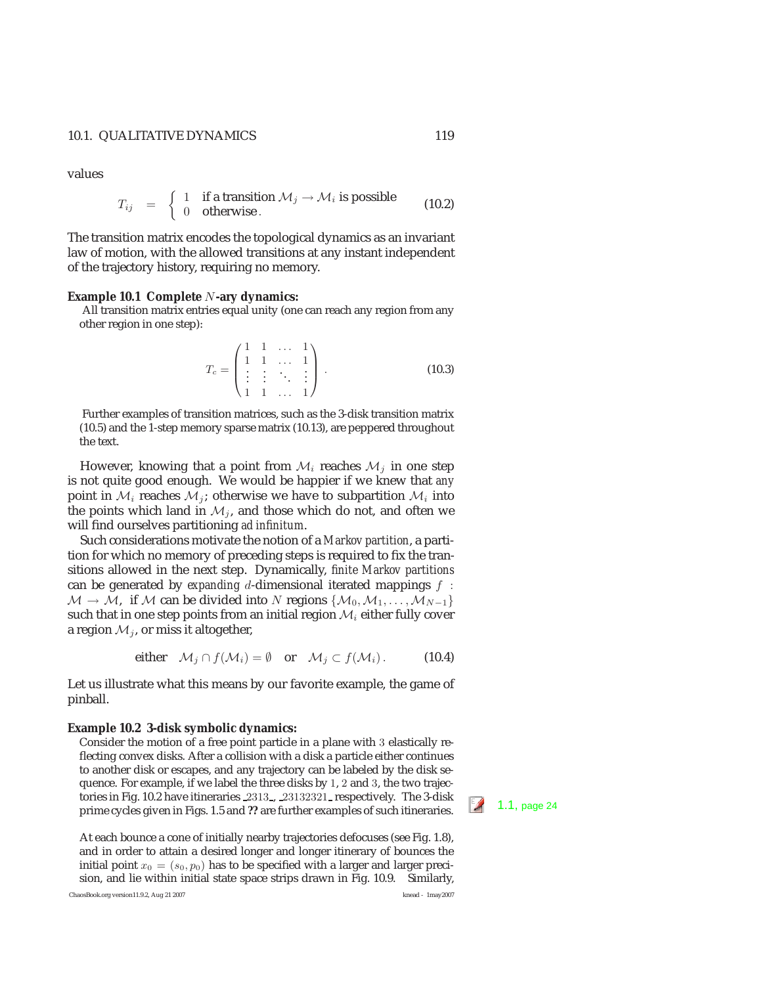#### 10.1. QUALITATIVE DYNAMICS 119

values

$$
T_{ij} = \begin{cases} 1 & \text{if a transition } \mathcal{M}_j \to \mathcal{M}_i \text{ is possible} \\ 0 & \text{otherwise.} \end{cases}
$$
 (10.2)

The transition matrix encodes the topological dynamics as an invariant law of motion, with the allowed transitions at any instant independent of the trajectory history, requiring no memory.

#### **Example 10.1 Complete** N**-ary dynamics:**

All transition matrix entries equal unity (one can reach any region from any other region in one step):

$$
T_c = \begin{pmatrix} 1 & 1 & \dots & 1 \\ 1 & 1 & \dots & 1 \\ \vdots & \vdots & \ddots & \vdots \\ 1 & 1 & \dots & 1 \end{pmatrix} .
$$
 (10.3)

Further examples of transition matrices, such as the 3-disk transition matrix (10.5) and the 1-step memory sparse matrix (10.13), are peppered throughout the text.

However, knowing that a point from  $\mathcal{M}_i$  reaches  $\mathcal{M}_i$  in one step is not quite good enough. We would be happier if we knew that *any* point in  $\mathcal{M}_i$  reaches  $\mathcal{M}_i$ ; otherwise we have to subpartition  $\mathcal{M}_i$  into the points which land in  $\mathcal{M}_i$ , and those which do not, and often we will find ourselves partitioning *ad infinitum*.

Such considerations motivate the notion of a *Markov partition*, a partition for which no memory of preceding steps is required to fix the transitions allowed in the next step. Dynamically, *finite Markov partitions* can be generated by *expanding* d-dimensional iterated mappings f:  $M \rightarrow M$ , if M can be divided into N regions { $M_0, M_1, \ldots, M_{N-1}$ } such that in one step points from an initial region  $\mathcal{M}_i$  either fully cover a region  $\mathcal{M}_i$ , or miss it altogether,

either 
$$
\mathcal{M}_j \cap f(\mathcal{M}_i) = \emptyset
$$
 or  $\mathcal{M}_j \subset f(\mathcal{M}_i)$ . (10.4)

Let us illustrate what this means by our favorite example, the game of pinball.

#### **Example 10.2 3-disk symbolic dynamics:**

Consider the motion of a free point particle in a plane with 3 elastically reflecting convex disks. After a collision with a disk a particle either continues to another disk or escapes, and any trajectory can be labeled by the disk sequence. For example, if we label the three disks by 1, 2 and 3, the two trajectories in Fig. 10.2 have itineraries 2313, 23132321 respectively. The 3-disk prime cycles given in Figs. 1.5 and **??** are further examples of such itineraries. **1.1**, page 24

At each bounce a cone of initially nearby trajectories defocuses (see Fig. 1.8), and in order to attain a desired longer and longer itinerary of bounces the initial point  $x_0 = (s_0, p_0)$  has to be specified with a larger and larger precision, and lie within initial state space strips drawn in Fig. 10.9. Similarly,

ChaosBook.org version11.9.2, Aug 21 2007 knead - 1may2007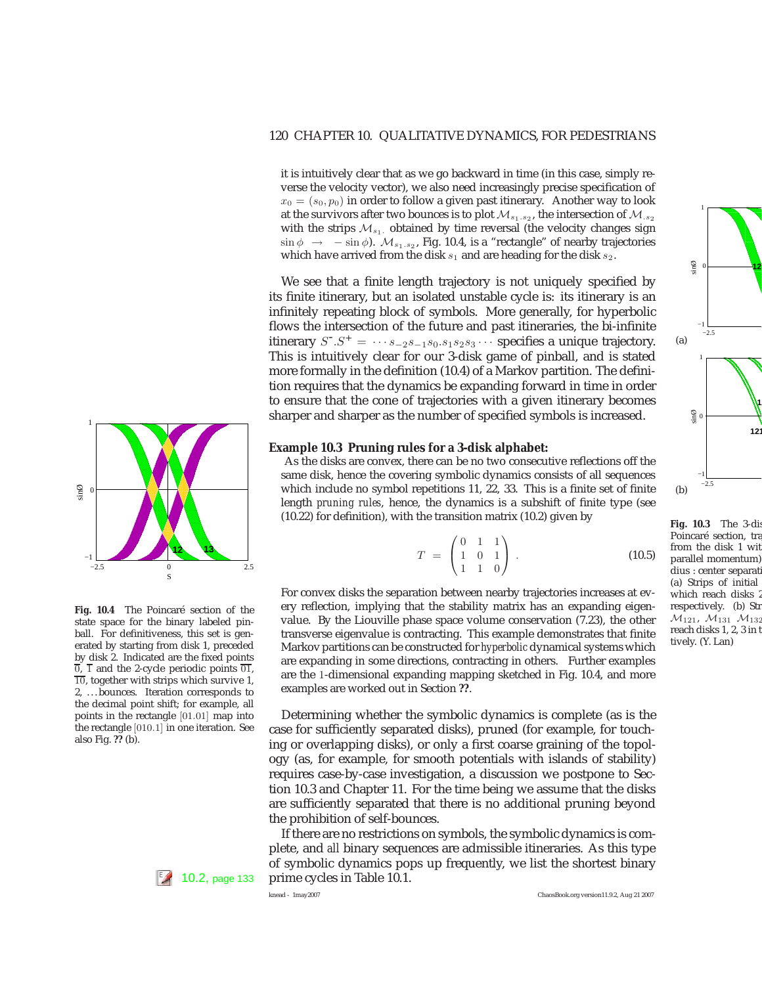it is intuitively clear that as we go backward in time (in this case, simply reverse the velocity vector), we also need increasingly precise specification of  $x_0 = (s_0, p_0)$  in order to follow a given past itinerary. Another way to look at the survivors after two bounces is to plot  $\mathcal{M}_{s_1,s_2}$ , the intersection of  $\mathcal{M}_{s_2}$ with the strips  $\mathcal{M}_{s_1}$ . obtained by time reversal (the velocity changes sign  $\sin \phi \rightarrow -\sin \phi$ ).  $\mathcal{M}_{s_1, s_2}$ , Fig. 10.4, is a "rectangle" of nearby trajectories which have arrived from the disk  $s_1$  and are heading for the disk  $s_2$ .

We see that a finite length trajectory is not uniquely specified by its finite itinerary, but an isolated unstable cycle is: its itinerary is an infinitely repeating block of symbols. More generally, for hyperbolic flows the intersection of the future and past itineraries, the bi-infinite itinerary  $S^- . S^+ = \cdots s_{-2} s_{-1} s_0 . s_1 s_2 s_3 \cdots$  specifies a unique trajectory. This is intuitively clear for our 3-disk game of pinball, and is stated more formally in the definition (10.4) of a Markov partition. The definition requires that the dynamics be expanding forward in time in order to ensure that the cone of trajectories with a given itinerary becomes sharper and sharper as the number of specified symbols is increased.

#### **Example 10.3 Pruning rules for a 3-disk alphabet:**

As the disks are convex, there can be no two consecutive reflections off the same disk, hence the covering symbolic dynamics consists of all sequences which include no symbol repetitions 11, 22, 33. This is a finite set of finite length *pruning rules*, hence, the dynamics is a subshift of finite type (see (10.22) for definition), with the transition matrix (10.2) given by

$$
T = \begin{pmatrix} 0 & 1 & 1 \\ 1 & 0 & 1 \\ 1 & 1 & 0 \end{pmatrix} . \tag{10.5}
$$

For convex disks the separation between nearby trajectories increases at every reflection, implying that the stability matrix has an expanding eigenvalue. By the Liouville phase space volume conservation (7.23), the other transverse eigenvalue is contracting. This example demonstrates that finite Markov partitions can be constructed for *hyperbolic* dynamical systems which are expanding in some directions, contracting in others. Further examples are the 1-dimensional expanding mapping sketched in Fig. 10.4, and more examples are worked out in Section **??**.

Determining whether the symbolic dynamics is complete (as is the case for sufficiently separated disks), pruned (for example, for touching or overlapping disks), or only a first coarse graining of the topology (as, for example, for smooth potentials with islands of stability) requires case-by-case investigation, a discussion we postpone to Section 10.3 and Chapter 11. For the time being we assume that the disks are sufficiently separated that there is no additional pruning beyond the prohibition of self-bounces.

If there are no restrictions on symbols, the symbolic dynamics is complete, and *all* binary sequences are admissible itineraries. As this type of symbolic dynamics pops up frequently, we list the shortest binary 10.2, page 133 prime cycles in Table 10.1.



**STARTING CONTRACTOR Example 1980 ENT SAMARIA STATE AND A REAL PROPERTY SALA**  $\longrightarrow$   $\rightarrow$   $\rightarrow$ **AIM SONE SAMP SALE The Second Second Second Second STATE OF ALL PROPERTY SOFF**  $\overline{\phantom{a}}$ 

---

----

- $\varepsilon$  $\mathbb{R}^n$ ---**EXAMINATION** 

------

----- $\mathbf{r}$  $\blacksquare$ 

---- $\blacksquare$ 

 $\mathbf{r}$ --- $\mathbf{r}$ -----

 $\blacktriangledown$ --v. -----

------

--F. ---

-- $\mathbb{R}^2$ ---

-- $\lambda$ -

 $\epsilon$ -------

---------

----

V O) Ã ----- $\mathbb{Z}^n$ -۹. -----

 $\mathbb{R}^n$ ----

 $\mathbb{R}^2$ - $\mathbf{v}$  $-1$   $-1$ 

-- $\blacktriangle$ -у.  $\Delta$   $\Box$   $\Delta$   $\Box$   $\Box$ 

-v ---- $\mathcal{C}^{\prime}$ -

- $\blacktriangle$ A

---

---A

---

--- $\mathbf{r}$ 

**IV**  $\lambda$ **A**  $\mathbf{X}$ -- $\lambda$ - $\epsilon$ --- $\lambda$  $\epsilon$ --

---

 $\boldsymbol{\mathsf{N}}$ -----

--------

----------

----------

 $\overline{\phantom{a}}$  **AVEC 1999 TALETA DE CALCADE DE CALCADE DE CALCADE DE CALCADE DE CALCADE DE CALCADE DE CALCADE DE CALCADE DE CALCADE DE C** AN ANGELE **ANTAA**  $\rightarrow$   $\rightarrow$   $\rightarrow$   $\rightarrow$ **AIR**  $\blacksquare$ NAN ZI L NA Z  $\blacksquare$ **Contract of the Contract of the Contract of the Contract of The Contract of The Contract of The Contract of The Contract of The Contract of The Contract of The Contract of The Contract of The Contract of The Contract of T**  and the contract of the contract of the contract of the

--

-

- $\blacksquare$ 

--

**AAR**  $\overline{1}$  and  $\overline{2}$  **ANTAL BEAT PAIRS** AAIAA T  $\leftarrow$ **AIM MARTINE AND STRUCK** NAS Z N AN A  $\blacksquare$  $\mathcal{L}$  and  $\mathcal{L}$   $\sim$   $\sim$   $\sim$ 

----

 $\mathbf{A}$ - $\lambda$ 

--- -- $\epsilon$ ------ $-$  -  $-$ --------- $\mathbb{R}^2$ 7 ------- $\mathbf{r}$ -------------- $\mathcal{I}$ - $\tilde{\phantom{a}}$ - $\blacksquare$ ------

--------

Y.  $\bigvee$  $\bigtriangleup$  $\mathbb{A}$ к.

-------- $\epsilon$  $\mathcal{I}$ --9 -۹. ------

- $\mathbb{Z}$ - $\blacksquare$  $\mathbb{R}^2$ 7 - $\mathbf{A}$ ---- $\Delta$  -  $\Delta$  -  $\Delta$ -----**View Service** ----7 --- $\blacksquare$ --------------

**ALL VALUE AND STRUCK** 

----

---

-----

-----

-------

---------

> -----

 $\blacksquare$ 

**- All Solutions** --------

**Executive** ---- $\epsilon$ ۹. --

--å. ---

**- Alexander** ---------

e a **de la ciencia de la ciencia de la ciencia de** - $\boldsymbol{\lambda}$ ---

and **Andre** v. ----

**IV**  $\mathcal{N}$  $\rightarrow$ A  $\mathbf{X}$ 

**AAIAA**  $\Lambda$  $\blacktriangle$ ---

**Example 19** ------- $\overline{\phantom{a}}$ 

**EXAMPLE 19** <u> Alexander State State State State State State State State State State State State State State State State State State State State State State State State State State State State State State State State State State State </u> **STATE SANTA PERSONAL PROPERTY OF STATISTICS** <u> ANAS A</u> **MAIN**  $\longrightarrow$   $\rightarrow$   $\rightarrow$ **AIR SANTA SAMP SALE The Second Second Second Second Second** <u>in the state of the state of the state of the state of the state of the state of the state of the state of the state of the state of the state of the state of the state of the state of the state of the state of the state </u>  $\sim$   $\sim$   $\sim$   $\sim$   $\sim$ 

- **- - - - - - -**-7 --7 - $\mathfrak{a}$ 

e a **de la c**iencia de la ciencia de la ciencia de la ciencia de la ciencia de la ciencia de la ciencia de la cie ---۱۱. - $\kappa$ -

- **1990 - 1990 - 1990 - 1990 - 1990 - 1990 - 1990** -s.  $\mathbb{R}^2$ ------

**ANA** 

**EXAMPLE 1999** -- $\mathbb{R}^2$ 7 --- $\mathbb{R}^2$ -

 $\sim$   $\sim$   $\sim$   $\sim$ 

 $\blacksquare$ 

--------

 $\mathbf{r}$ ------

-

 $\sqrt{2}$ 

- 1950 - 1950 - 1950 - 1950 - 1950 - 1950 - 1950 - 1950 - 1950 - 1950 - 1950 - 1950 - 1950 - 1950 - 1950 - 195

 $\blacksquare$ 

---------------

--------

---- $\ddot{\phantom{0}}$ --

------- $\mathbf{A}$ -

------ $\blacktriangle$ -

---------۸. - $\blacktriangleleft$ -

-------------

--------------

also Fig. **??** (b).

0

--------- $\overline{\phantom{a}}$ v. --

 $\sum_{n=0}^{\infty}$ 

 $\sin\varnothing$ 

-------

----- $\overline{\phantom{a}}$ -

--- $\epsilon$ ---

------ $\epsilon$ 

--l.  $\Delta$ -

--- $\lambda$ ---

-7 ----

-----

---------

-------

------7 --

--------

-------

-------

--- $\Delta$ -- $\mathbf{v}$ -

---N. ----

---ا ، ---

------- $\lambda$ ------- $\epsilon$ ---9, --۹. ---------

-У. --- $\mathbf{r}$ 

--- $\epsilon$  $\lambda$ --

---------

-------- $\mathbb{R}^2$ 

-- $\mathcal{J}$ ---- $\mathcal{A}$ --

--------

-- $\mathcal{A}$ ------

-- $\mathbb{R}^2$ -----7

-- $\mathbf{A}$ ---- $\Lambda$ -

-- $\mathbb{Z}^2$ ---- $\mathbb{A}$ --

------- $\mathbb{A}$ --

-A. ' 1 --

- $\mathbf{X}$ -- $\lambda$ -

-۰. --۰. -

-----

-- $\sqrt{}$ ---7

--------

---------

-----9 --

---' I ---

--71 ---

-- $\mathbb{R}^2$ -----7

---- $\mathbf{A}$ --

-- $\mathbb{R}^2$ -- $\epsilon$ --

------

--------

-------

----8. --

----- $\overline{\phantom{a}}$ ---

---------

--- $\triangle$ -

------ $\mathcal{F}$ --

-- $\mathbb{R}^2$ ----

---- $\mathbb{A}$ ---

- $\mathbf{r}$ - $\mathcal{L}% _{0}\left( t\right) \sim \mathcal{L}_{\mathrm{C}}\left( t\right) ^{\ast }\left( t\right)$  $\mathbf{A}$  . --

--- $\lambda$ -

--- $\mathbf{\hat{x}}$ --

-------

- $\epsilon$ --- $\epsilon$ ه.  $\mathbf{r}$ --

- $\epsilon$ --- $\mathbf{r}$ --

- $\mathbb{R}^n$ -- $\epsilon$ ----

- $\lambda$ -----

- $\overline{\phantom{0}}$  $\mathbf{v}$ -----

-- $\blacktriangle$ - $\mathbf{N}$ ---

- $\epsilon$ --- $\leq$ ---

- $\rightarrow$ --- $\rightarrow$  $\cdot$ ---

--------------

--- $\overline{\phantom{a}}$ ---- $\overline{\phantom{a}}$  $\top$ ----

--------------

-- $\overline{\phantom{a}}$ ---- $\overline{\phantom{a}}$ -------





dius : center separat (a) Strips of initial which reach disks 2 respectively. (b) Str  $\mathcal{M}_{121}$ ,  $\mathcal{M}_{131}$   $\mathcal{M}_{132}$ reach disks 1, 2, 3 in t tively. (Y. Lan)

**Fig. 10.3** The 3-dis Poincaré section, tra from the disk 1 wit parallel momentum)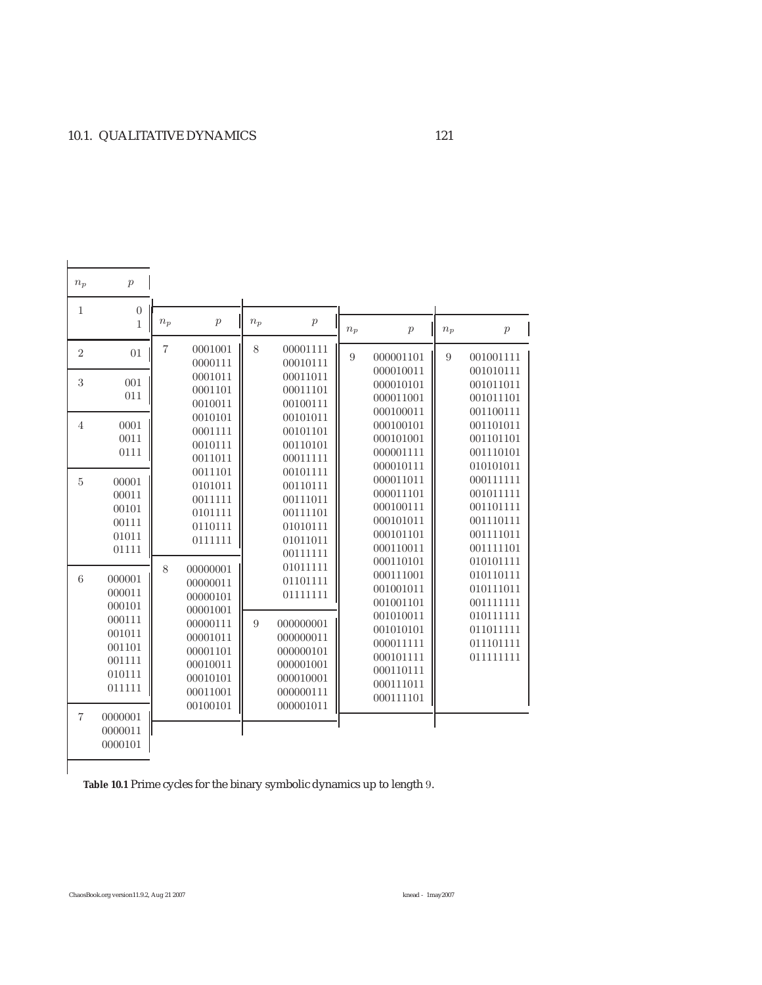L

| $n_p$          | $\mathcal{P}$                                                                          |                |                                                                                                                                  |       |                                                                                                                             |       |                                                                                                                                             |       |                                                                                                      |
|----------------|----------------------------------------------------------------------------------------|----------------|----------------------------------------------------------------------------------------------------------------------------------|-------|-----------------------------------------------------------------------------------------------------------------------------|-------|---------------------------------------------------------------------------------------------------------------------------------------------|-------|------------------------------------------------------------------------------------------------------|
| 1              | $\overline{0}$<br>1                                                                    | $n_p$          | $\mathcal{p}$                                                                                                                    | $n_p$ | $\boldsymbol{p}$                                                                                                            | $n_p$ | $\mathcal{p}$                                                                                                                               | $n_p$ | $\boldsymbol{p}$                                                                                     |
| $\overline{2}$ | 01                                                                                     | $\overline{7}$ | 0001001<br>0000111                                                                                                               | 8     | 00001111<br>00010111                                                                                                        | 9     | 000001101<br>000010011                                                                                                                      | 9     | 001001111<br>001010111                                                                               |
| 3              | 001<br>011                                                                             |                | 0001011<br>0001101<br>0010011                                                                                                    |       | 00011011<br>00011101<br>00100111                                                                                            |       | 000010101<br>000011001                                                                                                                      |       | 001011011<br>001011101                                                                               |
| $\overline{4}$ | 0001<br>0011<br>0111                                                                   |                | 0010101<br>0001111<br>0010111<br>0011011                                                                                         |       | 00101011<br>00101101<br>00110101<br>00011111                                                                                |       | 000100011<br>000100101<br>000101001<br>000001111                                                                                            |       | 001100111<br>001101011<br>001101101<br>001110101                                                     |
| 5              | 00001<br>00011<br>00101<br>00111<br>01011<br>01111                                     |                | 0011101<br>0101011<br>0011111<br>0101111<br>0110111<br>0111111                                                                   |       | 00101111<br>00110111<br>00111011<br>00111101<br>01010111<br>01011011<br>00111111                                            |       | 000010111<br>000011011<br>000011101<br>000100111<br>000101011<br>000101101<br>000110011                                                     |       | 010101011<br>000111111<br>001011111<br>001101111<br>001110111<br>001111011<br>001111101              |
| 6              | 000001<br>000011<br>000101<br>000111<br>001011<br>001101<br>001111<br>010111<br>011111 | 8              | 00000001<br>00000011<br>00000101<br>00001001<br>00000111<br>00001011<br>00001101<br>00010011<br>00010101<br>00011001<br>00100101 | 9     | 01011111<br>01101111<br>01111111<br>000000001<br>000000011<br>000000101<br>000001001<br>000010001<br>000000111<br>000001011 |       | 000110101<br>000111001<br>001001011<br>001001101<br>001010011<br>001010101<br>000011111<br>000101111<br>000110111<br>000111011<br>000111101 |       | 010101111<br>010110111<br>010111011<br>001111111<br>010111111<br>011011111<br>011101111<br>011111111 |
| $\overline{7}$ | 0000001<br>0000011<br>0000101                                                          |                |                                                                                                                                  |       |                                                                                                                             |       |                                                                                                                                             |       |                                                                                                      |

**Table 10.1** Prime cycles for the binary symbolic dynamics up to length 9.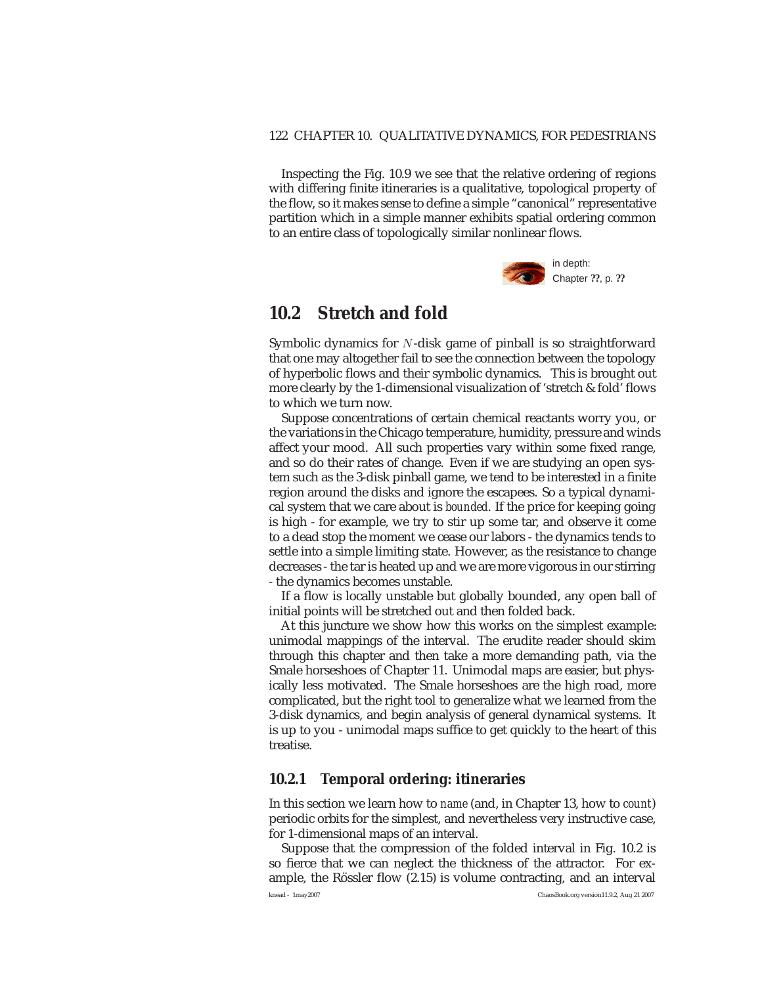Inspecting the Fig. 10.9 we see that the relative ordering of regions with differing finite itineraries is a qualitative, topological property of the flow, so it makes sense to define a simple "canonical" representative partition which in a simple manner exhibits spatial ordering common to an entire class of topologically similar nonlinear flows.



# **10.2 Stretch and fold**

Symbolic dynamics for N-disk game of pinball is so straightforward that one may altogether fail to see the connection between the topology of hyperbolic flows and their symbolic dynamics. This is brought out more clearly by the 1-dimensional visualization of 'stretch & fold' flows to which we turn now.

Suppose concentrations of certain chemical reactants worry you, or the variations in the Chicago temperature, humidity, pressure and winds affect your mood. All such properties vary within some fixed range, and so do their rates of change. Even if we are studying an open system such as the 3-disk pinball game, we tend to be interested in a finite region around the disks and ignore the escapees. So a typical dynamical system that we care about is *bounded*. If the price for keeping going is high - for example, we try to stir up some tar, and observe it come to a dead stop the moment we cease our labors - the dynamics tends to settle into a simple limiting state. However, as the resistance to change decreases - the tar is heated up and we are more vigorous in our stirring - the dynamics becomes unstable.

If a flow is locally unstable but globally bounded, any open ball of initial points will be stretched out and then folded back.

At this juncture we show how this works on the simplest example: unimodal mappings of the interval. The erudite reader should skim through this chapter and then take a more demanding path, via the Smale horseshoes of Chapter 11. Unimodal maps are easier, but physically less motivated. The Smale horseshoes are the high road, more complicated, but the right tool to generalize what we learned from the 3-disk dynamics, and begin analysis of general dynamical systems. It is up to you - unimodal maps suffice to get quickly to the heart of this treatise.

# **10.2.1 Temporal ordering: itineraries**

In this section we learn how to *name* (and, in Chapter 13, how to *count*) periodic orbits for the simplest, and nevertheless very instructive case, for 1-dimensional maps of an interval.

Suppose that the compression of the folded interval in Fig. 10.2 is so fierce that we can neglect the thickness of the attractor. For example, the Rössler flow  $(2.15)$  is volume contracting, and an interval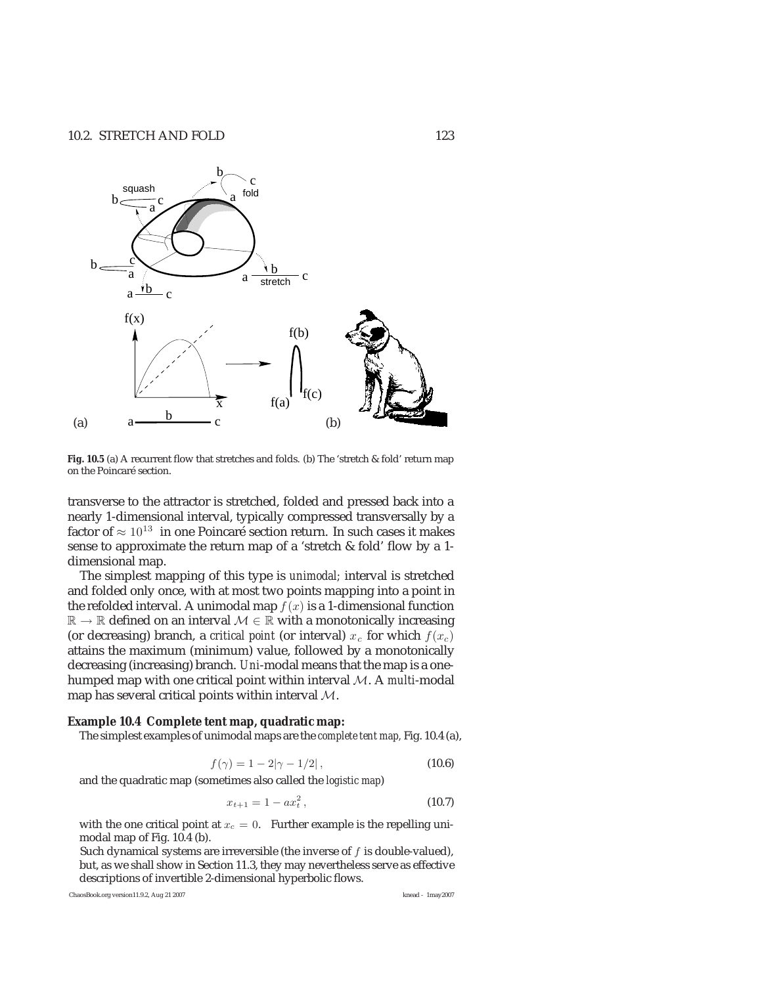

Fig. 10.5 (a) A recurrent flow that stretches and folds. (b) The 'stretch & fold' return map on the Poincaré section.

transverse to the attractor is stretched, folded and pressed back into a nearly 1-dimensional interval, typically compressed transversally by a factor of  $\approx 10^{13}$  in one Poincaré section return. In such cases it makes sense to approximate the return map of a 'stretch & fold' flow by a 1 dimensional map.

The simplest mapping of this type is *unimodal;* interval is stretched and folded only once, with at most two points mapping into a point in the refolded interval. A unimodal map  $f(x)$  is a 1-dimensional function  $\mathbb{R} \to \mathbb{R}$  defined on an interval  $\mathcal{M} \in \mathbb{R}$  with a monotonically increasing (or decreasing) branch, a *critical point* (or interval)  $x_c$  for which  $f(x_c)$ attains the maximum (minimum) value, followed by a monotonically decreasing (increasing) branch. *Uni*-modal means that the map is a onehumped map with one critical point within interval M. A *multi*-modal map has several critical points within interval M.

#### **Example 10.4 Complete tent map, quadratic map:**

The simplest examples of unimodal maps are the *complete tent map,* Fig. 10.4 (a),

$$
f(\gamma) = 1 - 2|\gamma - 1/2| \,, \tag{10.6}
$$

and the quadratic map (sometimes also called the *logistic map*)

$$
x_{t+1} = 1 - ax_t^2, \tag{10.7}
$$

with the one critical point at  $x_c = 0$ . Further example is the repelling unimodal map of Fig. 10.4 (b).

Such dynamical systems are irreversible (the inverse of  $f$  is double-valued), but, as we shall show in Section 11.3, they may nevertheless serve as effective descriptions of invertible 2-dimensional hyperbolic flows.

ChaosBook.org version11.9.2, Aug 21 2007 knead - 1may2007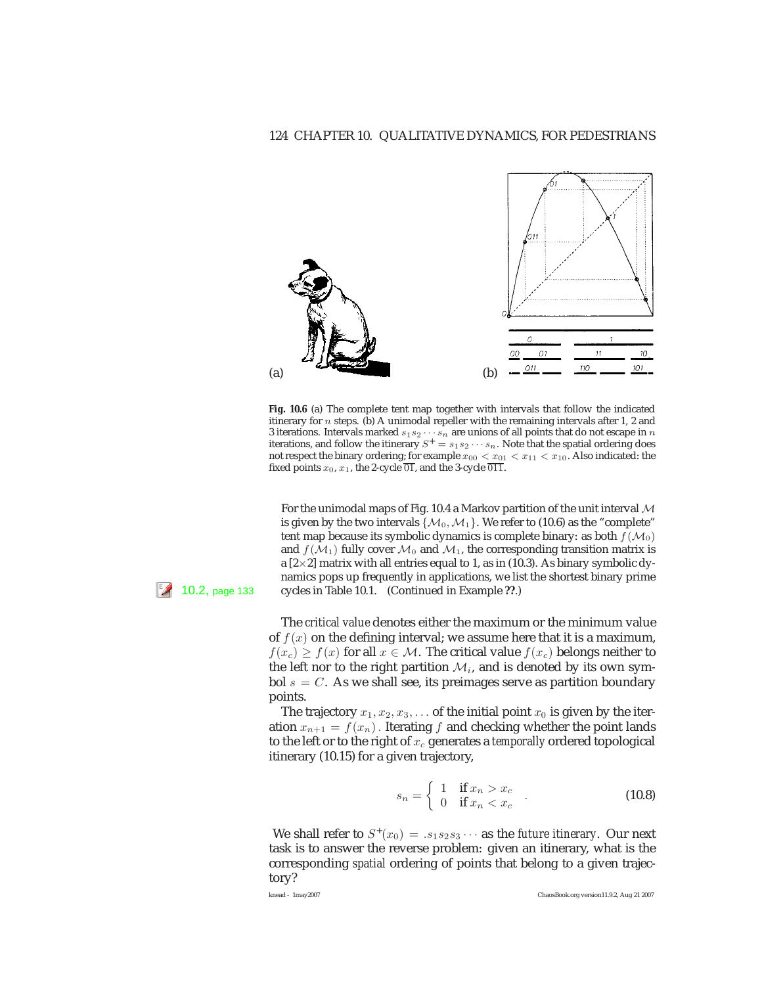

**Fig. 10.6** (a) The complete tent map together with intervals that follow the indicated itinerary for  $n$  steps. (b) A unimodal repeller with the remaining intervals after 1, 2 and 3 iterations. Intervals marked  $s_1s_2\cdots s_n$  are unions of all points that do not escape in n iterations, and follow the itinerary  $S^+ = s_1 s_2 \cdots s_n$ . Note that the spatial ordering does not respect the binary ordering; for example  $x_{00} < x_{01} < x_{11} < x_{10}$  . Also indicated: the fixed points  $x_0$ ,  $x_1$ , the 2-cycle  $\overline{01}$ , and the 3-cycle  $\overline{011}$ .

For the unimodal maps of Fig. 10.4 a Markov partition of the unit interval  $\mathcal M$ is given by the two intervals  $\{M_0, M_1\}$ . We refer to (10.6) as the "complete" tent map because its symbolic dynamics is complete binary: as both  $f(\mathcal{M}_0)$ and  $f(M_1)$  fully cover  $M_0$  and  $M_1$ , the corresponding transition matrix is a  $[2\times2]$  matrix with all entries equal to 1, as in (10.3). As binary symbolic dynamics pops up frequently in applications, we list the shortest binary prime  $\mathbb{Z}$  10.2, page 133 cycles in Table 10.1. (Continued in Example ??.)

> The *critical value* denotes either the maximum or the minimum value of  $f(x)$  on the defining interval; we assume here that it is a maximum,  $f(x_c) > f(x)$  for all  $x \in M$ . The critical value  $f(x_c)$  belongs neither to the left nor to the right partition  $\mathcal{M}_i$ , and is denoted by its own symbol  $s = C$ . As we shall see, its preimages serve as partition boundary points.

> The trajectory  $x_1, x_2, x_3, \ldots$  of the initial point  $x_0$  is given by the iteration  $x_{n+1} = f(x_n)$ . Iterating f and checking whether the point lands to the left or to the right of  $x_c$  generates a *temporally* ordered topological itinerary (10.15) for a given trajectory,

$$
s_n = \begin{cases} 1 & \text{if } x_n > x_c \\ 0 & \text{if } x_n < x_c \end{cases} \tag{10.8}
$$

We shall refer to  $S^+(x_0) = .s_1s_2s_3\cdots$  as the *future itinerary*. Our next task is to answer the reverse problem: given an itinerary, what is the corresponding *spatial* ordering of points that belong to a given trajectory?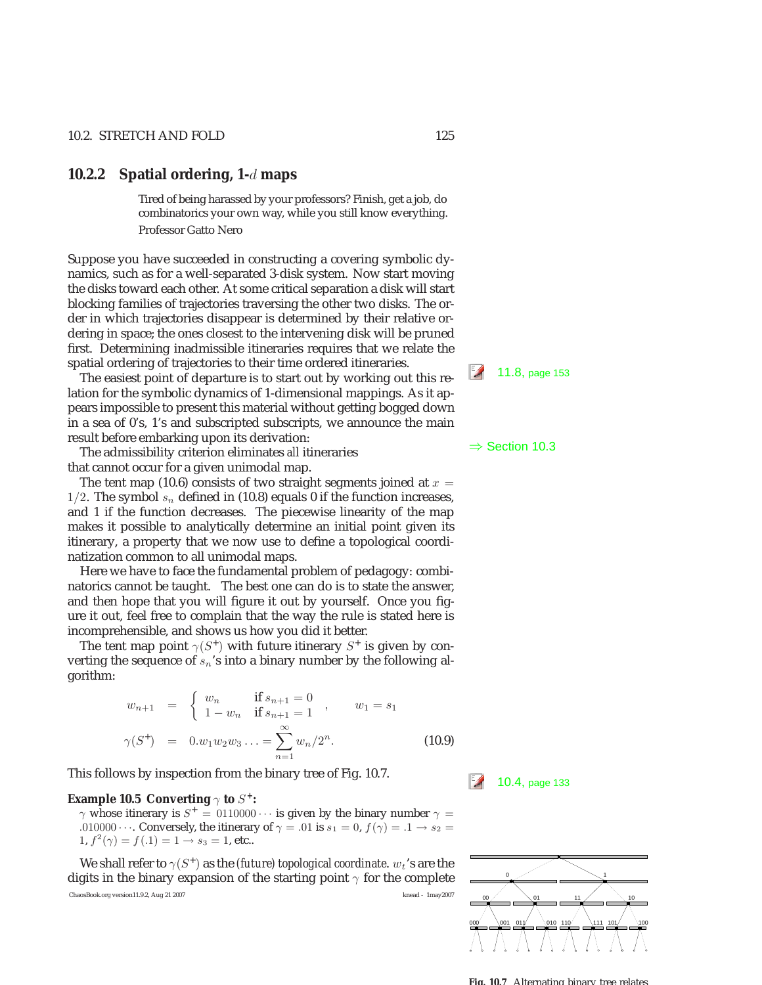# **10.2.2 Spatial ordering, 1-***d* **maps**

Tired of being harassed by your professors? Finish, get a job, do combinatorics your own way, while you still know everything. Professor Gatto Nero

Suppose you have succeeded in constructing a covering symbolic dynamics, such as for a well-separated 3-disk system. Now start moving the disks toward each other. At some critical separation a disk will start blocking families of trajectories traversing the other two disks. The order in which trajectories disappear is determined by their relative ordering in space; the ones closest to the intervening disk will be pruned first. Determining inadmissible itineraries requires that we relate the spatial ordering of trajectories to their time ordered itineraries.<br>The easiest point of departure is to start out by working out this re-<br> $\Box$  11.8, page 153

lation for the symbolic dynamics of 1-dimensional mappings. As it appears impossible to present this material without getting bogged down in a sea of 0's, 1's and subscripted subscripts, we announce the main result before embarking upon its derivation: <sup>⇒</sup> Section 10.3 The admissibility criterion eliminates *all* itineraries

that cannot occur for a given unimodal map.

The tent map (10.6) consists of two straight segments joined at  $x =$  $1/2$ . The symbol  $s_n$  defined in (10.8) equals 0 if the function increases, and 1 if the function decreases. The piecewise linearity of the map makes it possible to analytically determine an initial point given its itinerary, a property that we now use to define a topological coordinatization common to all unimodal maps.

Here we have to face the fundamental problem of pedagogy: combinatorics cannot be taught. The best one can do is to state the answer, and then hope that you will figure it out by yourself. Once you figure it out, feel free to complain that the way the rule is stated here is incomprehensible, and shows us how you did it better.

The tent map point  $\gamma(S^+)$  with future itinerary  $S^+$  is given by converting the sequence of  $s_n$ 's into a binary number by the following algorithm:

$$
w_{n+1} = \begin{cases} w_n & \text{if } s_{n+1} = 0 \\ 1 - w_n & \text{if } s_{n+1} = 1 \end{cases}, \qquad w_1 = s_1
$$
  

$$
\gamma(S^+) = 0.w_1w_2w_3... = \sum_{n=1}^{\infty} w_n/2^n.
$$
 (10.9)

This follows by inspection from the binary tree of Fig. 10.7.  $\begin{array}{|c|c|c|c|c|c|} \hline \end{array}$  10.4, page 133

# **Example 10.5 Converting**  $\gamma$  to  $S^+$ :

 $\gamma$  whose itinerary is  $S^+ = 0110000 \cdots$  is given by the binary number  $\gamma =$ .010000 ···. Conversely, the itinerary of  $\gamma = .01$  is  $s_1 = 0$ ,  $f(\gamma) = .1 \rightarrow s_2 =$ 1,  $f^{2}(\gamma) = f(.1) = 1 \rightarrow s_3 = 1$ , etc..

We shall refer to  $\gamma(S^+)$  as the *(future) topological coordinate.*  $w_t$ 's are the digits in the binary expansion of the starting point  $\gamma$  for the complete ChaosBook.org version11.9.2, Aug 21 2007 knead - 1may2007



**Fig. 10.7** Alternating binary tree relates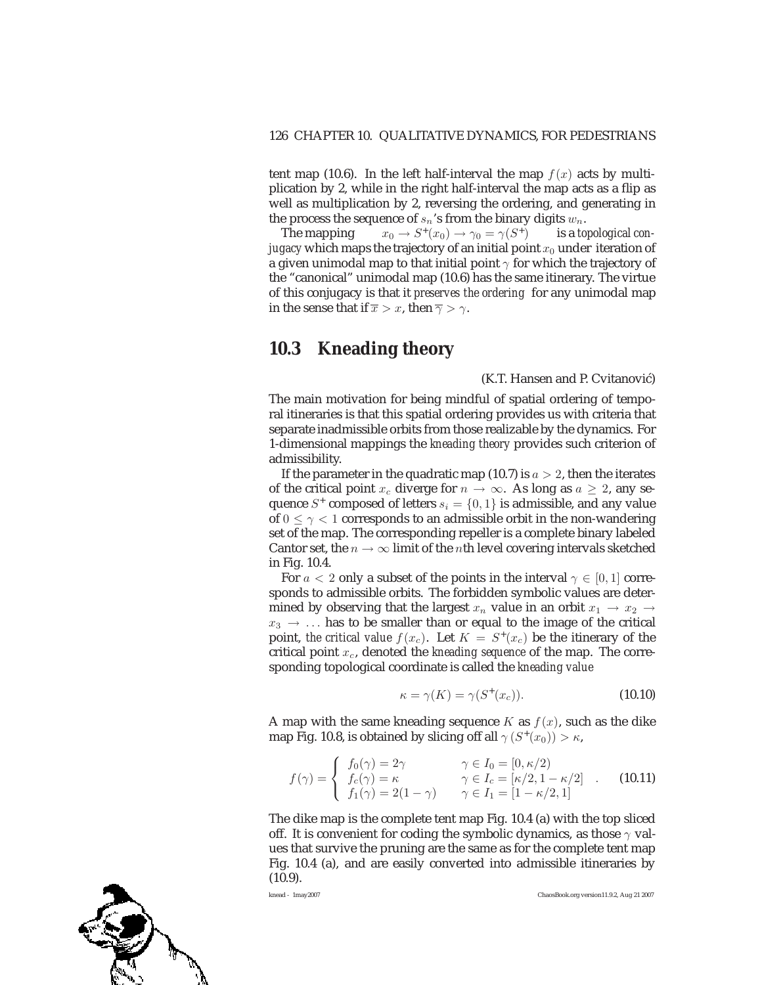tent map (10.6). In the left half-interval the map  $f(x)$  acts by multiplication by 2, while in the right half-interval the map acts as a flip as well as multiplication by 2, reversing the ordering, and generating in the process the sequence of  $s_n$ 's from the binary digits  $w_n$ .

The mapping  $x_0 \to S^+(x_0) \to \gamma_0 = \gamma(S^+)$  is a *topological conjugacy* which maps the trajectory of an initial point  $x_0$  under iteration of a given unimodal map to that initial point  $\gamma$  for which the trajectory of the "canonical" unimodal map (10.6) has the same itinerary. The virtue of this conjugacy is that it *preserves the ordering* for any unimodal map in the sense that if  $\overline{x} > x$ , then  $\overline{\gamma} > \gamma$ .

# **10.3 Kneading theory**

#### (K.T. Hansen and P. Cvitanović)

The main motivation for being mindful of spatial ordering of temporal itineraries is that this spatial ordering provides us with criteria that separate inadmissible orbits from those realizable by the dynamics. For 1-dimensional mappings the *kneading theory* provides such criterion of admissibility.

If the parameter in the quadratic map (10.7) is  $a > 2$ , then the iterates of the critical point  $x_c$  diverge for  $n \to \infty$ . As long as  $a \geq 2$ , any sequence  $S^+$  composed of letters  $s_i = \{0, 1\}$  is admissible, and any value of  $0 \leq \gamma < 1$  corresponds to an admissible orbit in the non-wandering set of the map. The corresponding repeller is a complete binary labeled Cantor set, the  $n \to \infty$  limit of the *n*th level covering intervals sketched in Fig. 10.4.

For  $a < 2$  only a subset of the points in the interval  $\gamma \in [0,1]$  corresponds to admissible orbits. The forbidden symbolic values are determined by observing that the largest  $x_n$  value in an orbit  $x_1 \rightarrow x_2 \rightarrow$  $x_3 \rightarrow \ldots$  has to be smaller than or equal to the image of the critical point, *the critical value*  $f(x_c)$ . Let  $K = S^+(x_c)$  be the itinerary of the critical point  $x_c$ , denoted the *kneading sequence* of the map. The corresponding topological coordinate is called the *kneading value*

$$
\kappa = \gamma(K) = \gamma(S^+(x_c)).\tag{10.10}
$$

A map with the same kneading sequence K as  $f(x)$ , such as the dike map Fig. 10.8, is obtained by slicing off all  $\gamma(S^+(x_0)) > \kappa$ ,

$$
f(\gamma) = \begin{cases} f_0(\gamma) = 2\gamma & \gamma \in I_0 = [0, \kappa/2) \\ f_c(\gamma) = \kappa & \gamma \in I_c = [\kappa/2, 1 - \kappa/2] \\ f_1(\gamma) = 2(1 - \gamma) & \gamma \in I_1 = [1 - \kappa/2, 1] \end{cases}
$$
 (10.11)

The dike map is the complete tent map Fig. 10.4 (a) with the top sliced off. It is convenient for coding the symbolic dynamics, as those  $\gamma$  values that survive the pruning are the same as for the complete tent map Fig. 10.4 (a), and are easily converted into admissible itineraries by (10.9).

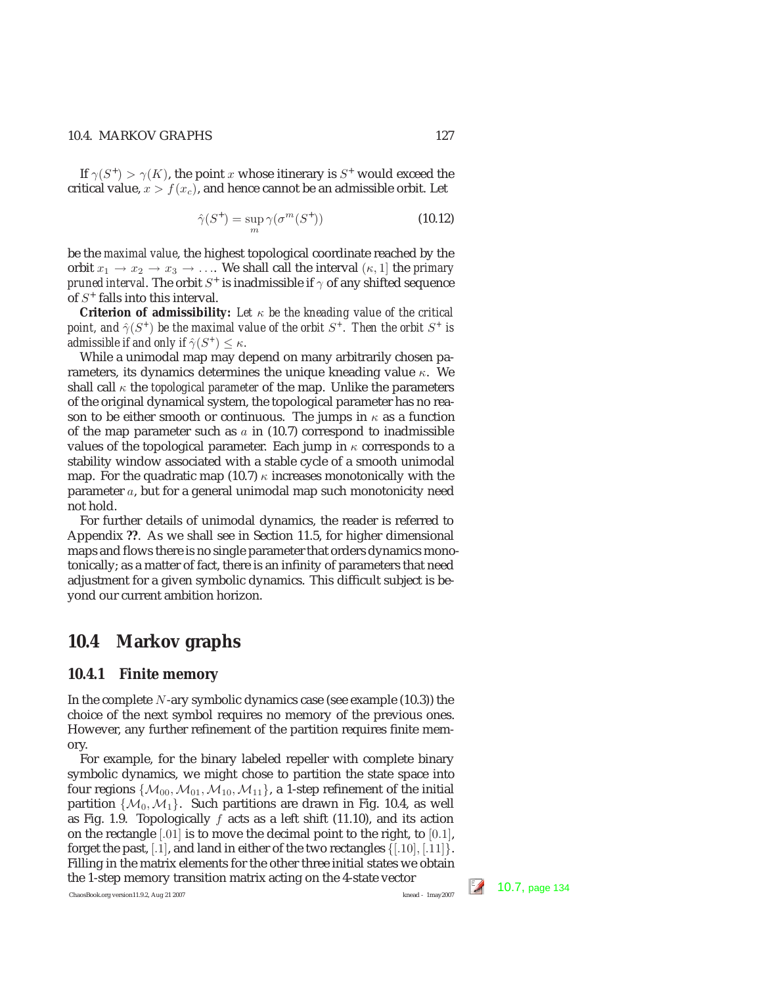## 10.4. MARKOV GRAPHS 127

If  $\gamma(S^*) > \gamma(K)$ , the point x whose itinerary is  $S^*$  would exceed the critical value,  $x > f(x_c)$ , and hence cannot be an admissible orbit. Let

$$
\hat{\gamma}(S^+) = \sup_m \gamma(\sigma^m(S^+))
$$
\n(10.12)

be the *maximal value*, the highest topological coordinate reached by the orbit  $x_1 \rightarrow x_2 \rightarrow x_3 \rightarrow \ldots$  We shall call the interval  $(\kappa, 1]$  the *primary pruned interval.* The orbit  $S^+$  is inadmissible if  $\gamma$  of any shifted sequence of  $S<sup>+</sup>$  falls into this interval.

**Criterion of admissibility:** *Let* κ *be the kneading value of the critical point, and*  $\hat{\gamma}(S^+)$  *be the maximal value of the orbit*  $S^+$ *. Then the orbit*  $S^+$  *is admissible if and only if*  $\hat{\gamma}(S^+) \leq \kappa$ *.* 

While a unimodal map may depend on many arbitrarily chosen parameters, its dynamics determines the unique kneading value  $\kappa$ . We shall call  $\kappa$  the *topological parameter* of the map. Unlike the parameters of the original dynamical system, the topological parameter has no reason to be either smooth or continuous. The jumps in  $\kappa$  as a function of the map parameter such as  $a$  in (10.7) correspond to inadmissible values of the topological parameter. Each jump in  $\kappa$  corresponds to a stability window associated with a stable cycle of a smooth unimodal map. For the quadratic map (10.7)  $\kappa$  increases monotonically with the parameter a, but for a general unimodal map such monotonicity need not hold.

For further details of unimodal dynamics, the reader is referred to Appendix **??**. As we shall see in Section 11.5, for higher dimensional maps and flows there is no single parameter that orders dynamics monotonically; as a matter of fact, there is an infinity of parameters that need adjustment for a given symbolic dynamics. This difficult subject is beyond our current ambition horizon.

# **10.4 Markov graphs**

# **10.4.1 Finite memory**

In the complete  $N$ -ary symbolic dynamics case (see example  $(10.3)$ ) the choice of the next symbol requires no memory of the previous ones. However, any further refinement of the partition requires finite memory.

For example, for the binary labeled repeller with complete binary symbolic dynamics, we might chose to partition the state space into four regions  $\{M_{00},M_{01},M_{10},M_{11}\}$ , a 1-step refinement of the initial partition  $\{\mathcal{M}_0, \mathcal{M}_1\}$ . Such partitions are drawn in Fig. 10.4, as well as Fig. 1.9. Topologically  $f$  acts as a left shift (11.10), and its action on the rectangle [.01] is to move the decimal point to the right, to [0.1], forget the past,  $[.1]$ , and land in either of the two rectangles  $\{[.10], [.11]\}$ . Filling in the matrix elements for the other three initial states we obtain the 1-step memory transition matrix acting on the 4-state vector  $\frac{1000 \text{ N}}{\text{khead} \cdot \text{Imay2007}}$  10.7, page 134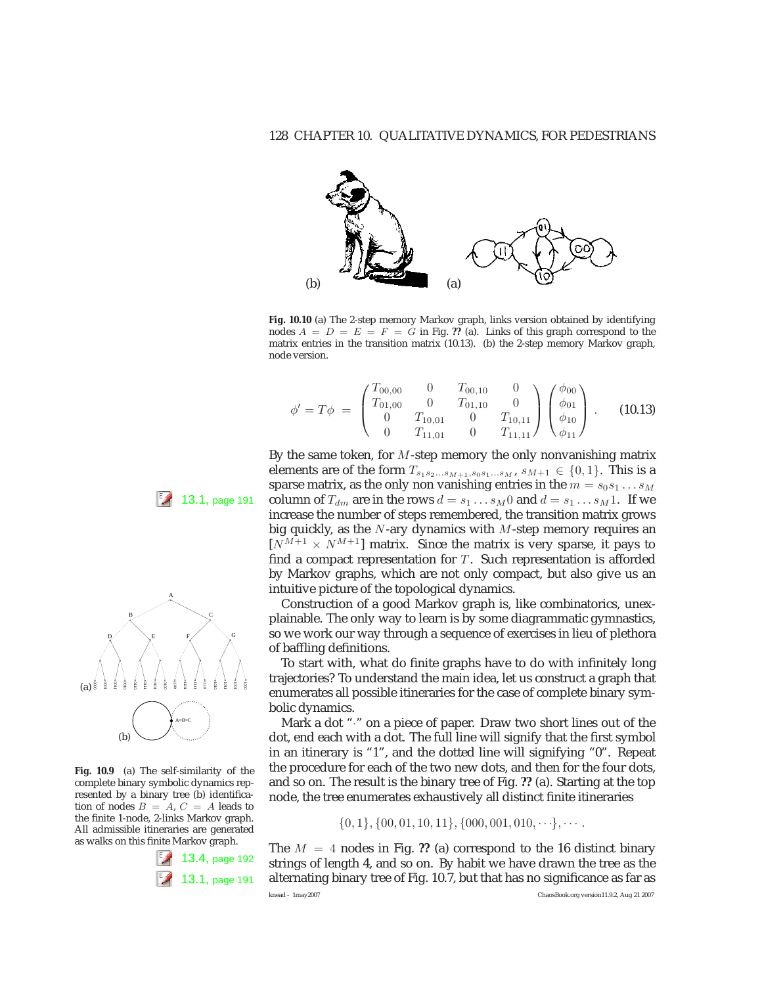

**Fig. 10.10** (a) The 2-step memory Markov graph, links version obtained by identifying nodes  $A = D = E = F = G$  in Fig. **??** (a). Links of this graph correspond to the matrix entries in the transition matrix (10.13). (b) the 2-step memory Markov graph, node version.

$$
\phi' = T\phi = \begin{pmatrix} T_{00,00} & 0 & T_{00,10} & 0 \\ T_{01,00} & 0 & T_{01,10} & 0 \\ 0 & T_{10,01} & 0 & T_{10,11} \\ 0 & T_{11,01} & 0 & T_{11,11} \end{pmatrix} \begin{pmatrix} \phi_{00} \\ \phi_{01} \\ \phi_{10} \\ \phi_{11} \end{pmatrix} .
$$
 (10.13)

By the same token, for  $M$ -step memory the only nonvanishing matrix elements are of the form  $T_{s_1s_2...s_{M+1},s_0s_1...s_M}$ ,  $s_{M+1} \in \{0,1\}$ . This is a sparse matrix, as the only non vanishing entries in the  $m = s_0 s_1 \dots s_M$ 13.1, page 191 column of  $T_{dm}$  are in the rows  $d = s_1 \dots s_M 0$  and  $d = s_1 \dots s_M 1$ . If we increase the number of steps remembered, the transition matrix grows big quickly, as the  $N$ -ary dynamics with  $M$ -step memory requires an  $[N^{M+1} \times N^{M+1}]$  matrix. Since the matrix is very sparse, it pays to find a compact representation for  $T$ . Such representation is afforded by Markov graphs, which are not only compact, but also give us an intuitive picture of the topological dynamics.

> Construction of a good Markov graph is, like combinatorics, unexplainable. The only way to learn is by some diagrammatic gymnastics, so we work our way through a sequence of exercises in lieu of plethora of baffling definitions.

> To start with, what do finite graphs have to do with infinitely long trajectories? To understand the main idea, let us construct a graph that enumerates all possible itineraries for the case of complete binary symbolic dynamics.

> Mark a dot "." on a piece of paper. Draw two short lines out of the dot, end each with a dot. The full line will signify that the first symbol in an itinerary is "1", and the dotted line will signifying "0". Repeat the procedure for each of the two new dots, and then for the four dots, and so on. The result is the binary tree of Fig. **??** (a). Starting at the top node, the tree enumerates exhaustively all distinct finite itineraries

$$
\{0,1\},\{00,01,10,11\},\{000,001,010,\cdots\},\cdots.
$$

The  $M = 4$  nodes in Fig. ?? (a) correspond to the 16 distinct binary strings of length 4, and so on. By habit we have drawn the tree as the alternating binary tree of Fig. 10.7, but that has no significance as far as



**Fig. 10.9** (a) The self-similarity of the complete binary symbolic dynamics represented by a binary tree (b) identification of nodes  $B = A$ ,  $C = A$  leads to the finite 1-node, 2-links Markov graph. All admissible itineraries are generated as walks on this finite Markov graph.

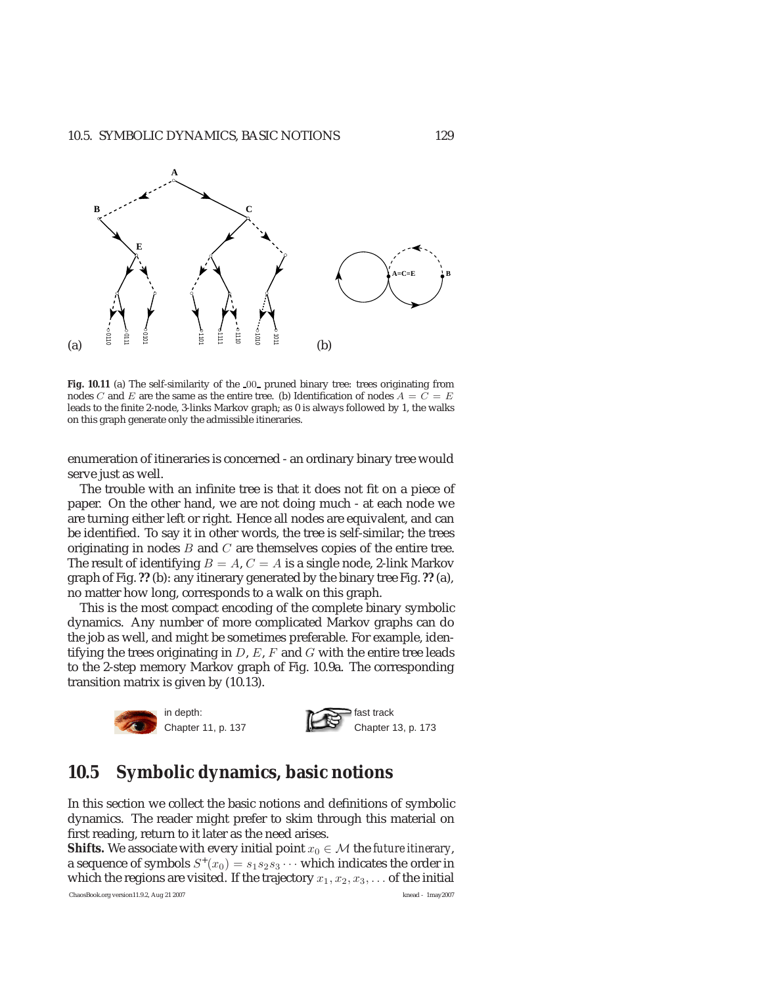

Fig. 10.11 (a) The self-similarity of the 00 pruned binary tree: trees originating from nodes C and E are the same as the entire tree. (b) Identification of nodes  $A = C = E$ leads to the finite 2-node, 3-links Markov graph; as 0 is always followed by 1, the walks on this graph generate only the admissible itineraries.

enumeration of itineraries is concerned - an ordinary binary tree would serve just as well.

The trouble with an infinite tree is that it does not fit on a piece of paper. On the other hand, we are not doing much - at each node we are turning either left or right. Hence all nodes are equivalent, and can be identified. To say it in other words, the tree is self-similar; the trees originating in nodes  $B$  and  $C$  are themselves copies of the entire tree. The result of identifying  $B = A$ ,  $C = A$  is a single node, 2-link Markov graph of Fig. **??** (b): any itinerary generated by the binary tree Fig. **??** (a), no matter how long, corresponds to a walk on this graph.

This is the most compact encoding of the complete binary symbolic dynamics. Any number of more complicated Markov graphs can do the job as well, and might be sometimes preferable. For example, identifying the trees originating in  $D$ ,  $E$ ,  $F$  and  $G$  with the entire tree leads to the 2-step memory Markov graph of Fig. 10.9a. The corresponding transition matrix is given by (10.13).





# **10.5 Symbolic dynamics, basic notions**

In this section we collect the basic notions and definitions of symbolic dynamics. The reader might prefer to skim through this material on first reading, return to it later as the need arises.

**Shifts.** We associate with every initial point  $x_0 \in M$  the *future itinerary*, a sequence of symbols  $S^+(x_0) = s_1s_2s_3 \cdots$  which indicates the order in which the regions are visited. If the trajectory  $x_1, x_2, x_3, \ldots$  of the initial ChaosBook.org version11.9.2, Aug 21 2007 knead - 1may2007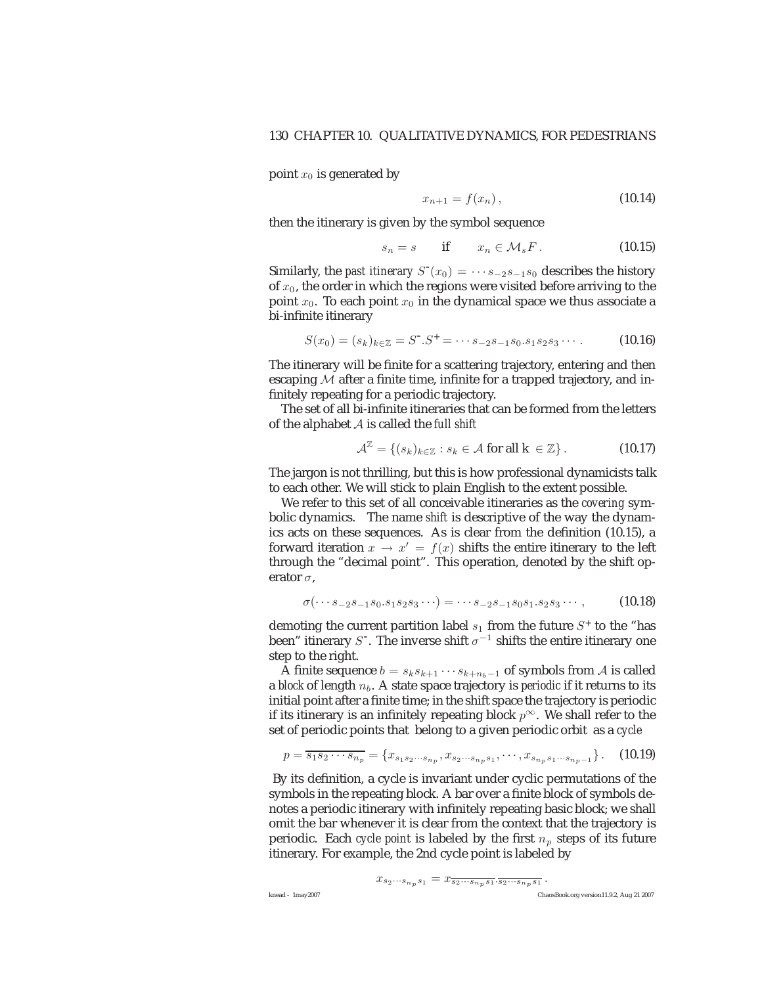point  $x_0$  is generated by

$$
x_{n+1} = f(x_n), \t\t(10.14)
$$

then the itinerary is given by the symbol sequence

$$
s_n = s \qquad \text{if} \qquad x_n \in \mathcal{M}_s F \,. \tag{10.15}
$$

Similarly, the *past itinerary*  $S^-(x_0) = \cdots s_{-2}s_{-1}s_0$  describes the history of  $x_0$ , the order in which the regions were visited before arriving to the point  $x_0$ . To each point  $x_0$  in the dynamical space we thus associate a bi-infinite itinerary

$$
S(x_0) = (s_k)_{k \in \mathbb{Z}} = S^-.S^+ = \cdots s_{-2}s_{-1}s_0.s_1s_2s_3\cdots
$$
 (10.16)

The itinerary will be finite for a scattering trajectory, entering and then escaping  $M$  after a finite time, infinite for a trapped trajectory, and infinitely repeating for a periodic trajectory.

The set of all bi-infinite itineraries that can be formed from the letters of the alphabet A is called the *full shift*

$$
\mathcal{A}^{\mathbb{Z}} = \{(s_k)_{k \in \mathbb{Z}} : s_k \in \mathcal{A} \text{ for all } k \in \mathbb{Z}\}.
$$
 (10.17)

The jargon is not thrilling, but this is how professional dynamicists talk to each other. We will stick to plain English to the extent possible.

We refer to this set of all conceivable itineraries as the *covering* symbolic dynamics. The name *shift* is descriptive of the way the dynamics acts on these sequences. As is clear from the definition (10.15), a forward iteration  $x \to x' = f(x)$  shifts the entire itinerary to the left through the "decimal point". This operation, denoted by the shift operator  $\sigma$ .

$$
\sigma(\cdots s_{-2}s_{-1}s_0.s_1s_2s_3\cdots) = \cdots s_{-2}s_{-1}s_0s_1.s_2s_3\cdots,
$$
 (10.18)

demoting the current partition label  $s_1$  from the future  $S^+$  to the "has been" itinerary S<sup>-</sup>. The inverse shift  $\sigma^{-1}$  shifts the entire itinerary one step to the right.

A finite sequence  $b = s_k s_{k+1} \cdots s_{k+n_b-1}$  of symbols from A is called a *block* of length  $n_b$ . A state space trajectory is *periodic* if it returns to its initial point after a finite time; in the shift space the trajectory is periodic if its itinerary is an infinitely repeating block  $p^{\infty}$ . We shall refer to the set of periodic points that belong to a given periodic orbit as a *cycle*

$$
p = \overline{s_1 s_2 \cdots s_{n_p}} = \{x_{s_1 s_2 \cdots s_{n_p}}, x_{s_2 \cdots s_{n_p} s_1}, \cdots, x_{s_{n_p} s_1 \cdots s_{n_p - 1}}\}.
$$
 (10.19)

By its definition, a cycle is invariant under cyclic permutations of the symbols in the repeating block. A bar over a finite block of symbols denotes a periodic itinerary with infinitely repeating basic block; we shall omit the bar whenever it is clear from the context that the trajectory is periodic. Each *cycle point* is labeled by the first  $n_p$  steps of its future itinerary. For example, the 2nd cycle point is labeled by

$$
x_{s_2\cdots s_{n_p}s_1}=x_{\overline{s_2\cdots s_{n_p}s_1}\cdot s_2\cdots s_{n_p}s_1}.
$$

knead - 1may2007 ChaosBook.org version11.9.2, Aug 21 2007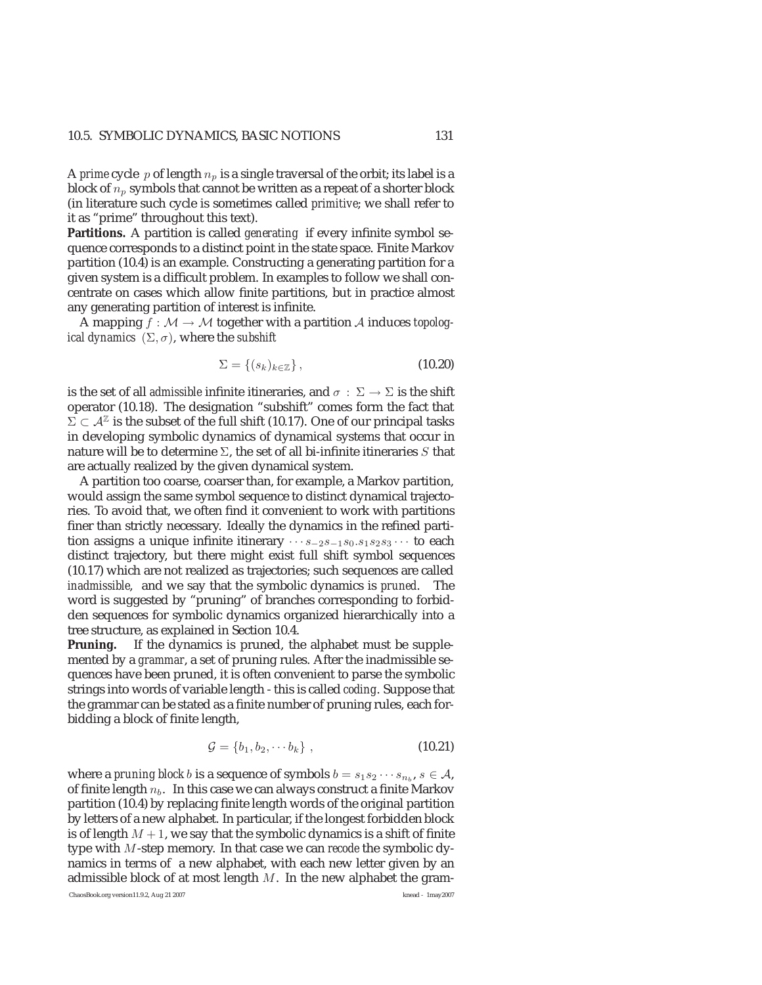A *prime* cycle  $p$  of length  $n_p$  is a single traversal of the orbit; its label is a block of  $n_p$  symbols that cannot be written as a repeat of a shorter block (in literature such cycle is sometimes called *primitive*; we shall refer to it as "prime" throughout this text).

**Partitions.** A partition is called *generating* if every infinite symbol sequence corresponds to a distinct point in the state space. Finite Markov partition (10.4) is an example. Constructing a generating partition for a given system is a difficult problem. In examples to follow we shall concentrate on cases which allow finite partitions, but in practice almost any generating partition of interest is infinite.

A mapping  $f : \mathcal{M} \to \mathcal{M}$  together with a partition  $\mathcal{A}$  induces *topological dynamics*  $(\Sigma, \sigma)$ , where the *subshift* 

$$
\Sigma = \{(s_k)_{k \in \mathbb{Z}}\},\tag{10.20}
$$

is the set of all *admissible* infinite itineraries, and  $\sigma : \Sigma \to \Sigma$  is the shift operator (10.18). The designation "subshift" comes form the fact that  $\Sigma \subset \mathcal{A}^{\mathbb{Z}}$  is the subset of the full shift (10.17). One of our principal tasks in developing symbolic dynamics of dynamical systems that occur in nature will be to determine  $\Sigma$ , the set of all bi-infinite itineraries  $S$  that are actually realized by the given dynamical system.

A partition too coarse, coarser than, for example, a Markov partition, would assign the same symbol sequence to distinct dynamical trajectories. To avoid that, we often find it convenient to work with partitions finer than strictly necessary. Ideally the dynamics in the refined partition assigns a unique infinite itinerary  $\cdots s_{-2}s_{-1}s_0.s_1s_2s_3\cdots$  to each distinct trajectory, but there might exist full shift symbol sequences (10.17) which are not realized as trajectories; such sequences are called *inadmissible*, and we say that the symbolic dynamics is *pruned*. The word is suggested by "pruning" of branches corresponding to forbidden sequences for symbolic dynamics organized hierarchically into a tree structure, as explained in Section 10.4.

**Pruning.** If the dynamics is pruned, the alphabet must be supplemented by a *grammar*, a set of pruning rules. After the inadmissible sequences have been pruned, it is often convenient to parse the symbolic strings into words of variable length - this is called *coding*. Suppose that the grammar can be stated as a finite number of pruning rules, each forbidding a block of finite length,

$$
G = \{b_1, b_2, \cdots b_k\}, \qquad (10.21)
$$

where a *pruning block b* is a sequence of symbols  $b = s_1 s_2 \cdots s_{n_b}$ ,  $s \in A$ , of finite length  $n_b$ . In this case we can always construct a finite Markov partition (10.4) by replacing finite length words of the original partition by letters of a new alphabet. In particular, if the longest forbidden block is of length  $M + 1$ , we say that the symbolic dynamics is a shift of finite type with M-step memory. In that case we can *recode* the symbolic dynamics in terms of a new alphabet, with each new letter given by an admissible block of at most length  $M$ . In the new alphabet the gram-

ChaosBook.org version11.9.2, Aug 21 2007 knead - 1may2007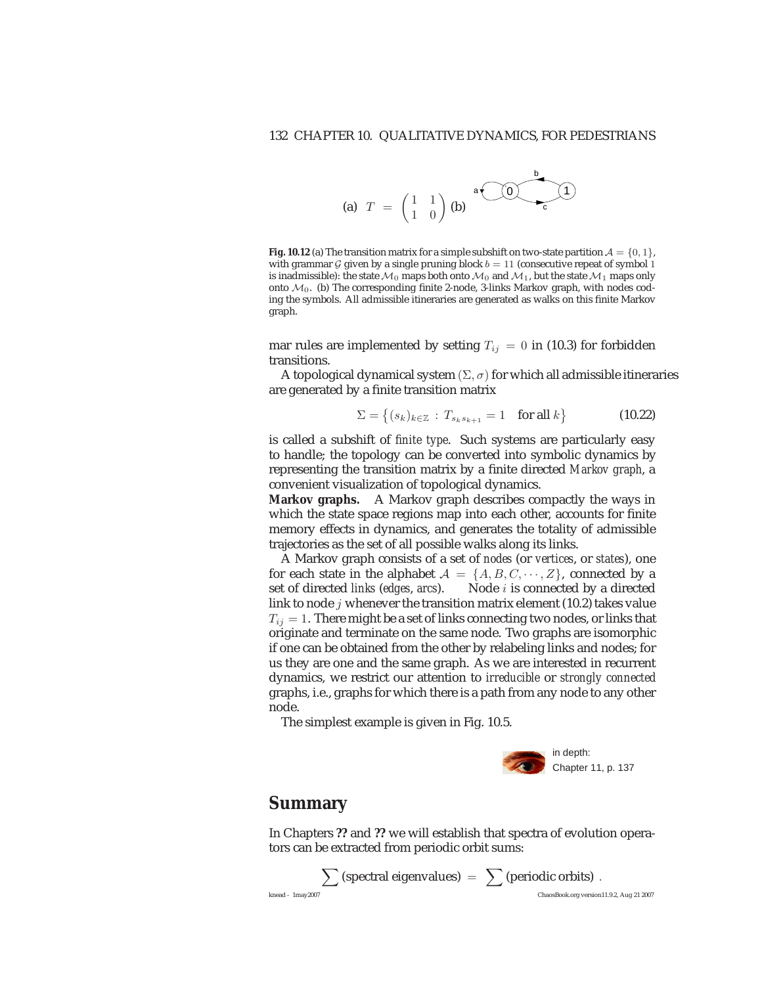

**Fig. 10.12** (a) The transition matrix for a simple subshift on two-state partition  $A = \{0, 1\}$ , with grammar  $G$  given by a single pruning block  $b = 11$  (consecutive repeat of symbol 1 is inadmissible): the state  $\mathcal{M}_0$  maps both onto  $\mathcal{M}_0$  and  $\mathcal{M}_1$ , but the state  $\mathcal{M}_1$  maps only onto  $\mathcal{M}_0$ . (b) The corresponding finite 2-node, 3-links Markov graph, with nodes coding the symbols. All admissible itineraries are generated as walks on this finite Markov graph.

mar rules are implemented by setting  $T_{ij} = 0$  in (10.3) for forbidden transitions.

A topological dynamical system  $(\Sigma, \sigma)$  for which all admissible itineraries are generated by a finite transition matrix

$$
\Sigma = \{(s_k)_{k \in \mathbb{Z}} : T_{s_k s_{k+1}} = 1 \text{ for all } k\}
$$
 (10.22)

is called a subshift of *finite type*. Such systems are particularly easy to handle; the topology can be converted into symbolic dynamics by representing the transition matrix by a finite directed *Markov graph*, a convenient visualization of topological dynamics.

**Markov graphs.** A Markov graph describes compactly the ways in which the state space regions map into each other, accounts for finite memory effects in dynamics, and generates the totality of admissible trajectories as the set of all possible walks along its links.

A Markov graph consists of a set of *nodes* (or *vertices*, or *states*), one for each state in the alphabet  $A = \{A, B, C, \dots, Z\}$ , connected by a set of directed *links* (*edges*, *arcs*). Node i is connected by a directed link to node  $j$  whenever the transition matrix element (10.2) takes value  $T_{ij} = 1$ . There might be a set of links connecting two nodes, or links that originate and terminate on the same node. Two graphs are isomorphic if one can be obtained from the other by relabeling links and nodes; for us they are one and the same graph. As we are interested in recurrent dynamics, we restrict our attention to *irreducible* or *strongly connected* graphs, i.e., graphs for which there is a path from any node to any other node.

The simplest example is given in Fig. 10.5.



# **Summary**

In Chapters **??** and **??** we will establish that spectra of evolution operators can be extracted from periodic orbit sums:

 $\sum$  (spectral eigenvalues) =  $\sum$  (periodic orbits). knead - 1may2007 ChaosBook.org version11.9.2, Aug 21 2007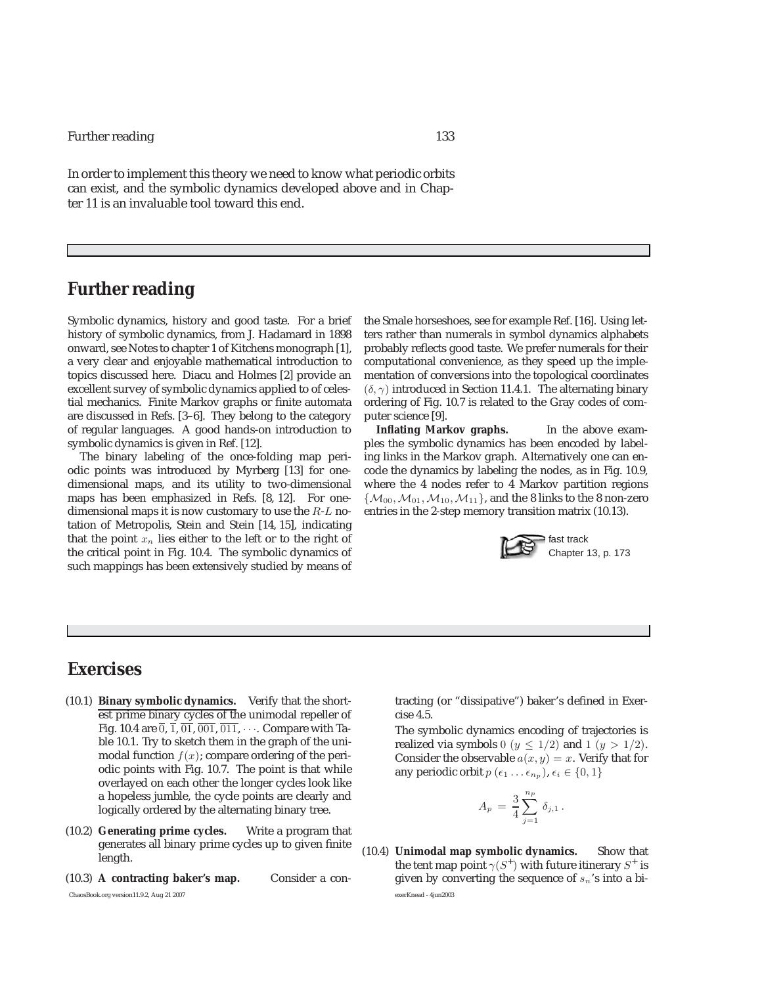Further reading 133

In order to implement this theory we need to know what periodic orbits can exist, and the symbolic dynamics developed above and in Chapter 11 is an invaluable tool toward this end.

# **Further reading**

Symbolic dynamics, history and good taste. For a brief history of symbolic dynamics, from J. Hadamard in 1898 onward, see Notes to chapter 1 of Kitchens monograph [1], a very clear and enjoyable mathematical introduction to topics discussed here. Diacu and Holmes [2] provide an excellent survey of symbolic dynamics applied to of celestial mechanics. Finite Markov graphs or finite automata are discussed in Refs. [3–6]. They belong to the category of regular languages. A good hands-on introduction to symbolic dynamics is given in Ref. [12].

The binary labeling of the once-folding map periodic points was introduced by Myrberg [13] for onedimensional maps, and its utility to two-dimensional maps has been emphasized in Refs. [8, 12]. For onedimensional maps it is now customary to use the  $R-L$  notation of Metropolis, Stein and Stein [14, 15], indicating that the point  $x_n$  lies either to the left or to the right of the critical point in Fig. 10.4. The symbolic dynamics of such mappings has been extensively studied by means of the Smale horseshoes, see for example Ref. [16]. Using letters rather than numerals in symbol dynamics alphabets probably reflects good taste. We prefer numerals for their computational convenience, as they speed up the implementation of conversions into the topological coordinates  $(\delta, \gamma)$  introduced in Section 11.4.1. The alternating binary ordering of Fig. 10.7 is related to the Gray codes of computer science [9].

**Inflating Markov graphs.** In the above examples the symbolic dynamics has been encoded by labeling links in the Markov graph. Alternatively one can encode the dynamics by labeling the nodes, as in Fig. 10.9, where the 4 nodes refer to 4 Markov partition regions  $\{\mathcal{M}_{00},\mathcal{M}_{01},\mathcal{M}_{10},\mathcal{M}_{11}\}\$ , and the 8 links to the 8 non-zero entries in the 2-step memory transition matrix (10.13).



# **Exercises**

- (10.1) **Binary symbolic dynamics.** Verify that the shortest prime binary cycles of the unimodal repeller of Fig. 10.4 are  $\overline{0}$ ,  $\overline{1}$ ,  $\overline{01}$ ,  $\overline{001}$ ,  $\overline{011}$ ,  $\cdots$ . Compare with Table 10.1. Try to sketch them in the graph of the unimodal function  $f(x)$ ; compare ordering of the periodic points with Fig. 10.7. The point is that while overlayed on each other the longer cycles look like a hopeless jumble, the cycle points are clearly and logically ordered by the alternating binary tree.
- (10.2) **Generating prime cycles.** Write a program that generates all binary prime cycles up to given finite length.
- (10.3) **A contracting baker's map.** Consider a con-

ChaosBook.org version11.9.2, Aug 21 2007 exerKnead - 4jun2003

tracting (or "dissipative") baker's defined in Exercise 4.5.

The symbolic dynamics encoding of trajectories is realized via symbols  $0 \ (y \leq 1/2)$  and  $1 \ (y > 1/2)$ . Consider the observable  $a(x, y) = x$ . Verify that for any periodic orbit  $p$  ( $\epsilon_1 \ldots \epsilon_{n_p}$ ),  $\epsilon_i \in \{0, 1\}$ 

$$
A_p = \frac{3}{4} \sum_{j=1}^{n_p} \delta_{j,1}.
$$

(10.4) **Unimodal map symbolic dynamics.** Show that the tent map point  $\gamma(S^+)$  with future itinerary  $S^+$  is given by converting the sequence of  $s_n$ 's into a bi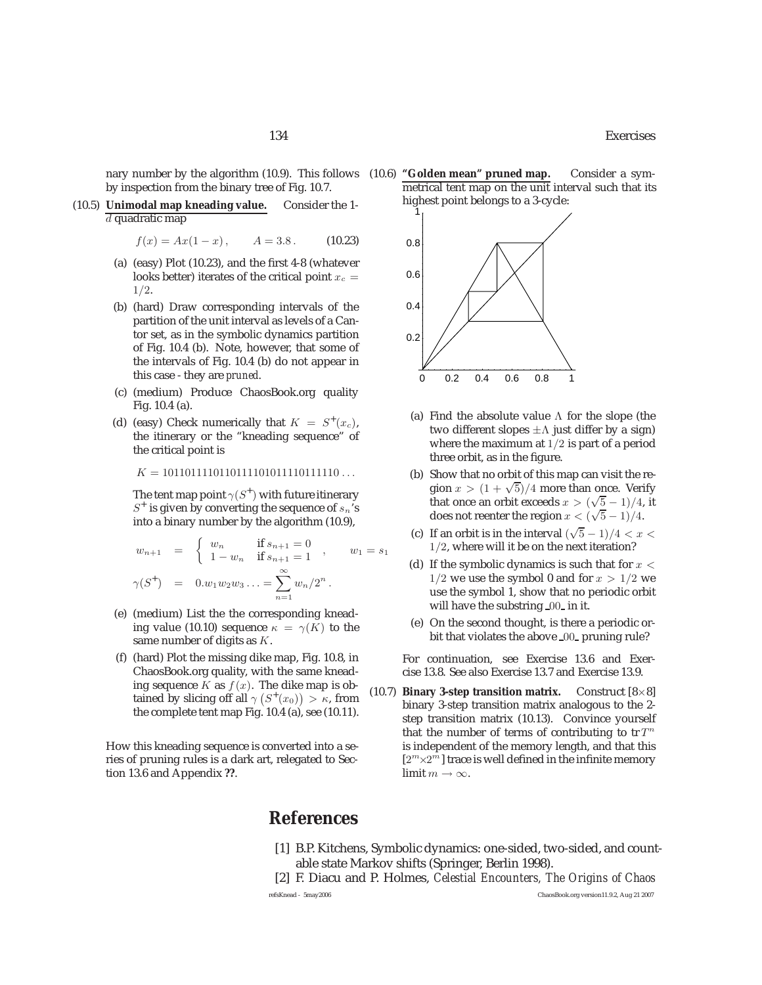by inspection from the binary tree of Fig. 10.7.

#### (10.5) **Unimodal map kneading value.** Consider the 1-  $\overline{d}$  quadratic map

$$
f(x) = Ax(1 - x), \qquad A = 3.8. \tag{10.23}
$$

- (a) (easy) Plot (10.23), and the first 4-8 (whatever looks better) iterates of the critical point  $x_c$  = 1/2.
- (b) (hard) Draw corresponding intervals of the partition of the unit interval as levels of a Cantor set, as in the symbolic dynamics partition of Fig. 10.4 (b). Note, however, that some of the intervals of Fig. 10.4 (b) do not appear in this case - they are *pruned*.
- (c) (medium) Produce ChaosBook.org quality Fig. 10.4 (a).
- (d) (easy) Check numerically that  $K = S^+(x_c)$ , the itinerary or the "kneading sequence" of the critical point is

$$
K = 10110111101101111010111101111110...
$$

The tent map point  $\gamma(S^+)$  with future itinerary  $S^+$  is given by converting the sequence of  $s_n$ 's into a binary number by the algorithm (10.9),

$$
w_{n+1} = \begin{cases} w_n & \text{if } s_{n+1} = 0 \\ 1 - w_n & \text{if } s_{n+1} = 1 \end{cases}, \qquad w_1 = s_1
$$
  

$$
\gamma(S^+) = 0.w_1w_2w_3 \dots = \sum_{n=1}^{\infty} w_n/2^n.
$$

- (e) (medium) List the the corresponding kneading value (10.10) sequence  $\kappa = \gamma(K)$  to the same number of digits as K.
- (f) (hard) Plot the missing dike map, Fig. 10.8, in ChaosBook.org quality, with the same kneading sequence K as  $f(x)$ . The dike map is obtained by slicing off all  $\gamma(S^+(x_0)) > \kappa$ , from the complete tent map Fig. 10.4 (a), see (10.11).

How this kneading sequence is converted into a series of pruning rules is a dark art, relegated to Section 13.6 and Appendix **??**.

nary number by the algorithm (10.9). This follows (10.6) **"Golden mean" pruned map.** Consider a symmetrical tent map on the unit interval such that its highest point belongs to a 3-cycle:



- (a) Find the absolute value  $\Lambda$  for the slope (the two different slopes  $\pm \Lambda$  just differ by a sign) where the maximum at 1/2 is part of a period three orbit, as in the figure.
- (b) Show that no orbit of this map can visit the region  $x > (1 + \sqrt{5})/4$  more than once. Verify gion  $x > (1 + \sqrt{9})/4$  more than once. Verify<br>that once an orbit exceeds  $x > (\sqrt{5} - 1)/4$ , it that once an orbit exceeds  $x > (\sqrt{5} - 1)/4$ ,<br>does not reenter the region  $x < (\sqrt{5} - 1)/4$ .
- (c) If an orbit is in the interval  $(\sqrt{5}-1)/4 < x <$ 1/2, where will it be on the next iteration?
- (d) If the symbolic dynamics is such that for  $x <$  $1/2$  we use the symbol 0 and for  $x > 1/2$  we use the symbol 1, show that no periodic orbit will have the substring  $00$  in it.
- (e) On the second thought, is there a periodic orbit that violates the above \_00\_ pruning rule?

For continuation, see Exercise 13.6 and Exercise 13.8. See also Exercise 13.7 and Exercise 13.9.

(10.7) **Binary 3-step transition matrix.** Construct  $[8 \times 8]$ binary 3-step transition matrix analogous to the 2 step transition matrix (10.13). Convince yourself that the number of terms of contributing to  $\operatorname{tr} T^n$ is independent of the memory length, and that this  $[2^m \times 2^m]$  trace is well defined in the infinite memory limit  $m \to \infty$ .

# **References**

- [1] B.P. Kitchens, Symbolic dynamics: one-sided, two-sided, and countable state Markov shifts (Springer, Berlin 1998).
- [2] F. Diacu and P. Holmes, *Celestial Encounters, The Origins of Chaos* refsKnead - 5may2006 ChaosBook.org version11.9.2, Aug 21 2007